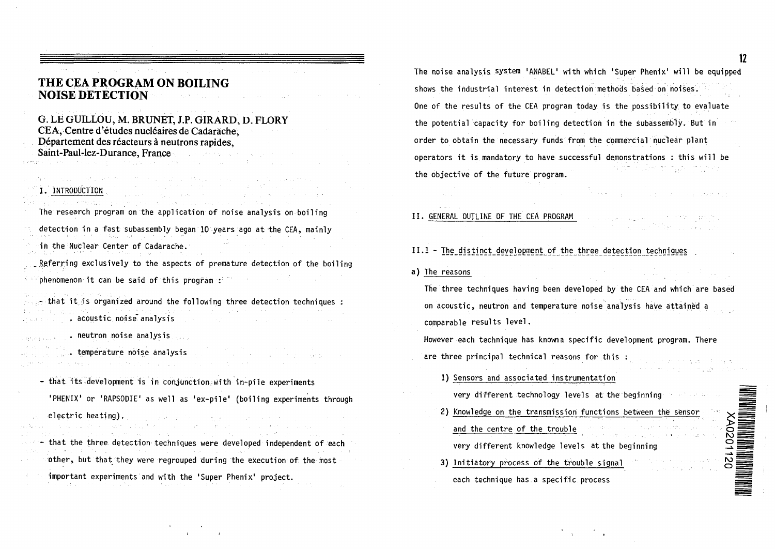# THE CEA PROGRAM ON BOILING NOISE DETECTION

# G. LE GUILLOU, M. BRUNET, J.P. GIRARD, D. FLORY

CEA, Centre d'etudes nucleaires de Cadarache, Département des réacteurs à neutrons rapides. Saint-Paul-lez-Durance, France

## I. INTRODUCTION

The research program on the application of noise analysis on boiling

detection in a fast subassembly began 10 years ago at the CEA, mainly in the Nuclear Center of Cadarache.

Referring exclusively to the aspects of premature detection of the boiling phenomenon it can be said of this program :

 $-$  that it is organized around the following three detection techniques : , acoustic noise analysis

. neutron noise analysis

. temperature noise analysis

- that its development is in conjunction,with in-pile experiments "PHENIX<sup>1</sup> or "RAPSODIE<sup>1</sup> as well as 'ex-pile' (boiling experiments through electric heating).

that the three detection techniques were developed independent of each other, but that they were regrouped during the execution of the most

important experiments and with the 'Super Phenix' project.

The noise analysis system 'ANABEL' with which 'Super Phenix' will be equipped shows the industrial interest in detection methods based on noises. One of the results of the CEA program today is the possibility to evaluate the potential capacity for boiling detection in the subassembly. But in order to obtain the necessary funds from the commercial nuclear plant operators it is mandatory to have successful demonstrations : this will be the objective of the future program.

II. GENERAL OUTLINE OF THE CEA PROGRAM

II.1 - The distinct development of the three detection techniques

a) The reasons

The three techniques having been developed by the CEA and which are based on acoustic, neutron and temperature noise analysis have attained a comparable results level.

However each technique has knowna specific development program. There

are three principal technical reasons for this :

1) Sensors and associated instrumentation

very different technology levels at the beginning

- 2) Knowledge on the transmission functions between the sensor and the centre of the trouble very different knowledge levels at the beginning
- 3) Initiatory process of the trouble signal each technique has a specific process

**12**

<u>B</u><br>ລ≣  $\vec{\phantom{a}}$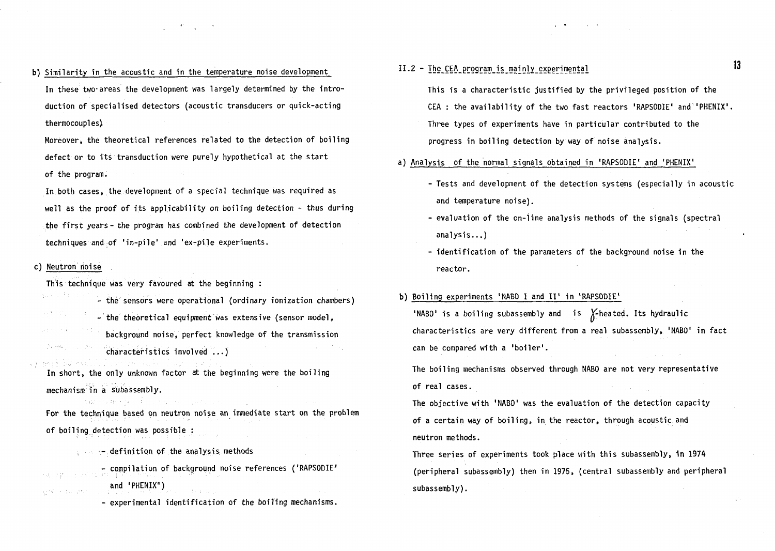b) Similarity in the acoustic and in the temperature noise development In these two-areas the development was largely determined by the introduction of specialised detectors (acoustic transducers or quick-acting thermocouples)

Moreover, the theoretical references related to the detection of boiling defect or to its transduction were purely hypothetical at the start of the program.

In both cases, the development of a special technique was required as well as the proof of its applicability on boiling detection - thus during the first years- the program has combined the development of detection techniques and of 'in-pile' and 'ex-pile experiments.

#### c) Neutron noise

经营产品 电电子

This technique was very favoured at the beginning :

- the sensors were operational (ordinary ionization chambers) - the theoretical equipment was extensive (sensor model, background noise, perfect knowledge of the transmission

The Sales characteristics involved ...) i de Partido

In short, the only unknown factor at the beginning were the boiling mechanism in a subassembly.

For the technique based on neutron noise an immediate start on the problem of boiling detection was possible :

 $\ldots$  - definition of the analysis methods

- compilation of background noise references ('RAPSODIE' and ' PHENIX")

- experimental identification of the boiling mechanisms.

## II.2 - Ihe\_CEA\_erogram\_is\_mainly\_\_exgerimental

This is a characteristic justified by the privileged position of the CEA : the availability of the two fast reactors 'RAPSODIE' and 'PHENIX'. Three types of experiments have in particular contributed to the progress in boiling detection by way of noise analysis.

and the company's the

a) Analysis of the normal signals obtained in 'RAPSODIE' and 'PHENIX'

- Tests and development of the detection systems (especially in acoustic and temperature noise).
- evaluation of the on-line analysis methods of the signals (spectral analysis...)
- identification of the parameters of the background noise in the reactor.

## b) Boiling experiments 'NABO I and II' in 'RAPSODIE'

'NABO' is a boiling subassembly and is  $X$ -heated. Its hydraulic characteristics are very different from a real subassembly, 'NABO' in fact can be compared with a 'boiler'.

The boiling mechanisms observed through NABO are not very representative of real cases.

The objective with 'NABO' was the evaluation of the detection capacity of a certain way of boiling, in the reactor, through acoustic and neutron methods.

Three series of experiments took place with this subassembly, in 1974 (peripheral subassembly) then in 1975, (central subassembly and peripheral subassembly).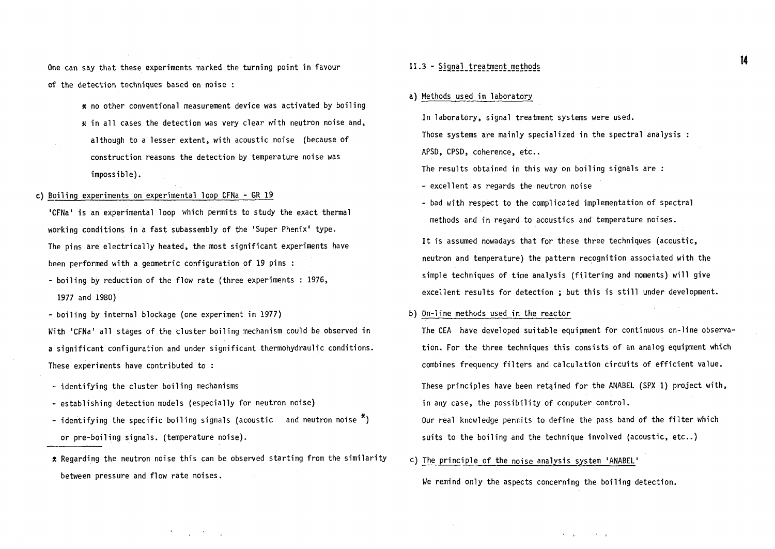One can say that these experiments marked the turning point in favour of the detection techniques based on noise :

> x no other conventional measurement device was activated by boiling  $*$  in all cases the detection was very clear with neutron noise and, although to a lesser extent, with acoustic noise (because of construction reasons the detection by temperature noise was impossible).

#### c) Boiling experiments on experimental loop CFNa - GR 19

'CFNa' is an experimental loop which permits to study the exact thermal working conditions in a fast subassembly of the 'Super Phenix' type. The pins are electrically heated, the most significant experiments have been performed with a geometric configuration of 19 pins :

- boiling by reduction of the flow rate (three experiments : 1976, 1977 and 1980)
- boiling by internal blockage (one experiment in 1977)

With 'CFNa' all stages of the cluster boiling mechanism could be observed in a significant configuration and under significant thermohydraulic conditions. These experiments have contributed to :

- identifying the cluster boiling mechanisms
- establishing detection models (especially for neutron noise)
- identifying the specific boiling signals (acoustic and neutron noise  $^*)$ or pre-boiling signals, (temperature noise).
- \* Regarding the neutron noise this can be observed starting from the similarity between pressure and flow rate noises.

## II.3 - Signal\_treatm§nt methods

a) Methods used in laboratory

In laboratory, signal treatment systems were used. Those systems are mainly specialized in the spectral analysis : APSD, CPSD, coherence, etc..

The results obtained in this way on boiling signals are :

- excellent as regards the neutron noise
- bad with respect to the complicated implementation of spectral methods and in regard to acoustics and temperature noises.

It is assumed nowadays that for these three techniques (acoustic, neutron and temperature) the pattern recognition associated with the simple techniques of time analysis (filtering and moments) will give excellent results for detection ; but this is still under development.

#### b) On-line methods used in the reactor

The CEA have developed suitable equipment for continuous on-line observation. For the three techniques this consists of an analog equipment which combines frequency filters and calculation circuits of efficient value.

These principles have been retained for the ANABEL (SPX 1) project with, in any case, the possibility of computer control.

Our real knowledge permits to define the pass band of the filter which suits to the boiling and the technique involved (acoustic, etc..)

c) The principle of the noise analysis system 'ANABEL'

We remind only the aspects concerning the boiling detection.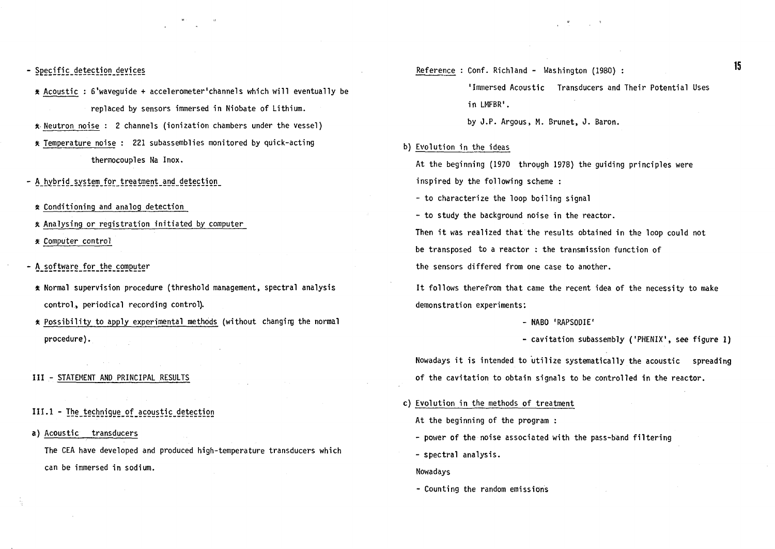## - Specific detection devices

- X Acoustic : 6'waveguide + accelerometer'channels which will eventually be replaced by sensors immersed in Niobate of Lithium.
- \* Neutron noise : 2 channels (ionization chambers under the vessel)
- \* Temperature noise : 221 subassemblies monitored by quick-acting thermocouples Na Inox.
- A hybrid system for treatment and detection
- » Conditioning and analog detection
- \* Analysing or registration initiated by computer
- \* Computer control
- A software for the computer
- \* Normal supervision procedure (threshold management, spectral analysis control, periodical recording control).
- X Possibility to apply experimental methods (without changing the normal procedure).
- Ill STATEMENT AND PRINCIPAL RESULTS
- III.1 The technique of acoustic detection
- a) Acoustic transducers

The CEA have developed and produced high-temperature transducers which can be immersed in sodium.

Reference : Conf. Richland - Washington (1980) :

'Immersed Acoustic Transducers and Their Potential Uses in LMFBR<sup>1</sup>.

by J.P. Argous, M. Brunet, J. Baron.

#### b) Evolution in the ideas

At the beginning (1970 through 1978) the guiding principles were inspired by the following scheme :

- to characterize the loop boiling signal

- to study the background noise in the reactor.

Then it was realized that the results obtained in the loop could not be transposed to a reactor : the transmission function of the sensors differed from one case to another.

It follows therefrom that came the recent idea of the necessity to make demonstration experiments:

- NABO 'RAPSOOIE'
- cavitation subassembly ('PHENIX', see figure 1)

Nowadays it is intended to utilize systematically the acoustic spreading of the cavitation to obtain signals to be controlled in the reactor.

#### c) Evolution in the methods of treatment

At the beginning of the program :

- power of the noise associated with the pass-band filtering
- spectral analysis.

#### Nowadays

- Counting the random emissions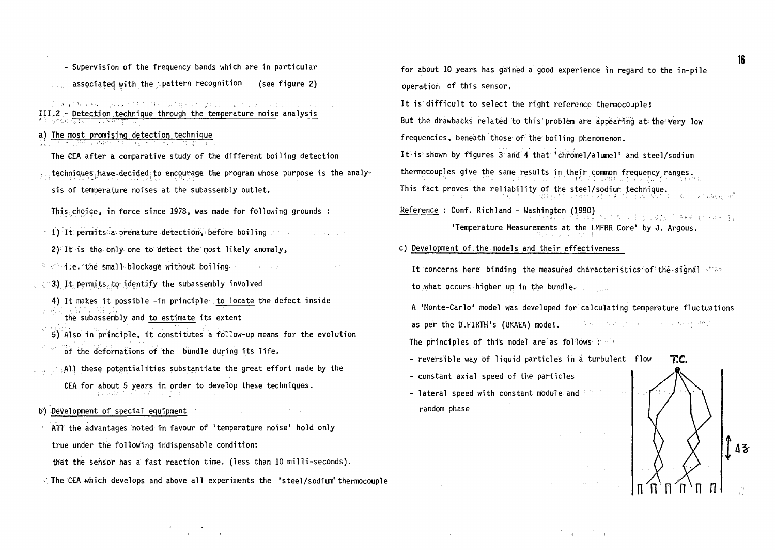- Supervision of the frequency bands which are in particular associated with the pattern recognition (see figure 2)

His Yaar ask clubb result to see thit as a receiver shows to change the than the III.2 - Detection.technique through the temperature noise analysis

a) The most promising detection technique

The CEA after a comparative study of the different boiling detection

. techniques have decided to encourage the program whose purpose is the analysis of temperature noises at the subassembly outlet.

This, choice, in force since 1978, was made for following grounds :

" 1)- It: permits a premature detection, before boiling

 $2)$  It is the only one to detect the most likely anomaly,

- $\frac{1}{2}$  .i: the small-blockage without boiling-space  $\frac{1}{2}$  $\mathcal{L}^{\mathcal{L}}(\mathcal{L}^{\mathcal{L}})$  , where  $\mathcal{L}^{\mathcal{L}}(\mathcal{L}^{\mathcal{L}})$
- $3$ ) It permits, to identify the subassembly involved

4) It makes it possible -in principle-, to locate the defect inside the subassembly and to estimate its extent

- 5) Also in principle, it constitutes a follow-up means for the evolution of the deformations of the bundle during its life.
- All these potentialities substantiate the great effort made by the
	- CEA for about 5 years in order to develop these techniques.
- b) Development of special equipment
- ATI the advantages noted in favour of 'temperature noise' hold only true under the following indispensable condition:
- that the sensor has a fast reaction time, (less than 10 milli-seconds).
- The CEA which develops and above all experiments the 'steel/sodium' thermocouple

for about 10 years has gained a good experience in regard to the in-pile operation of this sensor.

It is difficult to select the right reference thermocouple:

But the drawbacks related to this:problem are appearing at the'Very low

frequencies, beneath those of the boiling phenomenon.

It is shown by figures 3 and 4 that 'chromel/alumel' and steel/sodium

thermocouples give the same results in their common frequency ranges. This fact proves the reliability of the steel/sodium technique.

Reference : Conf. Richland - Washington (1980) (2001) (2003) (2003) (2003) 17 'Temperature Measurements at the LMFBR Core' by J. Argous.

## c) Development of.the models and their effectiveness

It concerns here binding the measured characteristics of the signal  $\frac{1}{2}$ to what occurs higher up in the bundle.

A 'Monte-Carlo' model was developed for calculating temperature fluctuations as per the D.FIRTH's (UKAEA) model. The second contract of the companies

The principles of this model are as follows :

- reversible way of liquid particles in a turbulent flow  $TC$ .
- constant axial speed of the particles
- lateral speed with constant module and random phase

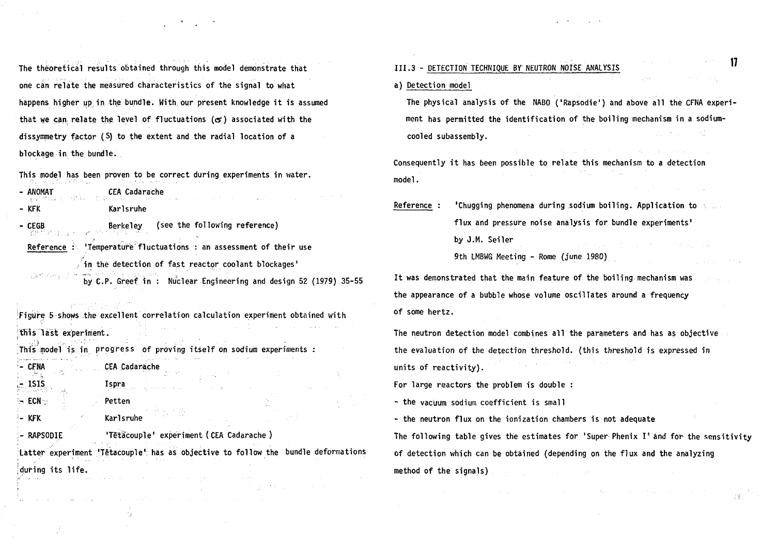**The theoretical results obtained through this model demonstrate that one can relate the measured characteristics of the signal to what** happens higher up in the bundle. With our present knowledge it is assumed **that we can-relate the level of fluctuations (<s) associated with the dissymmetry factor (S) to the extent and the radial location of a blockage in the bundle.**

**This model has been proven to be correct during experiments in water.**

galaxies and completely the

|       | - ANOMAT CEA Cadarache<br>La crista de la crista de la crista de la crista de la crista de la crista de la crista de la crista de la cri |
|-------|------------------------------------------------------------------------------------------------------------------------------------------|
| - KFK | Karlsruhe                                                                                                                                |
|       | - CEGB Berkeley (see the following reference)                                                                                            |
|       |                                                                                                                                          |
|       |                                                                                                                                          |
|       | Reference : 'Temperature fluctuations : an assessment of their use                                                                       |
|       | $\sqrt{\mathbf{i}}$ n the detection of fast reactor coolant blockages'                                                                   |

|                       | Figure 5 shows the excellent correlation calculation experiment obtained with     |  |
|-----------------------|-----------------------------------------------------------------------------------|--|
| this last experiment. | This model is in progress of proving itself on sodium experiments :               |  |
| - CFNA                | CEA Cadarache                                                                     |  |
| $-$ ISIS              | Ispra                                                                             |  |
| 8– ECN 93             | Petten                                                                            |  |
| ≔ KFK                 | Karlsruhe                                                                         |  |
| - RAPSODIE            | 'Tétacouple' experiment (CEA Cadarache)                                           |  |
|                       | Latter experiment 'Têtacouple' has as objective to follow the bundle deformations |  |
| during its life.      |                                                                                   |  |

17 **III.3 - DETECTION TECHNIQUE BY NEUTRON NOISE ANALYSIS 17 a) Detection model**

**The physical analysis of the NABO ('Rapsodie') and above all the CFNA experiment has permitted the identification of the boiling mechanism in a sodiumcooled subassembly.**

**Consequently it has been possible to relate this mechanism to a detection model.**

**Reference : 'Chugging phenomena during sodium boiling. Application to**  $\sim$ **flux and pressure noise analysis for bundle experiments' by J.M. Seiler 9th LMBWG Meeting - Rome (June 1980)**

**It was demonstrated that the main feature of the boiling mechanism was the appearance of a bubble whose volume oscillates around a frequency of some hertz.**

**The neutron detection model combines all the parameters and has as objective the evaluation of the detection threshold, (this threshold is expressed in units of reactivity).**

**For large reactors the problem is double :**

**- the vacuum sodium coefficient is small**

**- the neutron flux on the ionization chambers is not adequate**

The following table gives the estimates for 'Super Phenix I' and for the sensitivity **of detection which can be obtained (depending on the flux and the analyzing method of the signals)**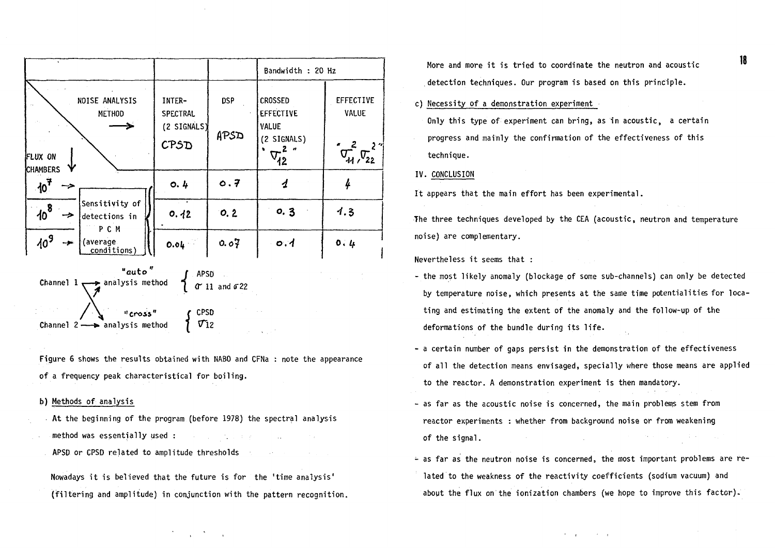

Figure 6 shows the results obtained with NABO and CFNa : note the appearance of a frequency peak characteristical for boiling.

### b) Methods of analysis

- At the beginning of the program (before 1978) the spectral analysis method was essentially used : . APSD or CPSD related to amplitude thresholds
- Nowadays it is believed that the future is for the "time analysis' (filtering and amplitude) in conjunction with the pattern recognition.

More and more it is tried to coordinate the neutron and acoustic detection techniques. Our program is based on this principle.

18

### c) Necessity of a demonstration experiment

Only this type of experiment can bring, as in acoustic, a certain progress and mainly the confirmation of the effectiveness of this technique.

#### IV. CONCLUSION

It appears that the main effort has been experimental.

The three techniques developed by the CEA (acoustic, neutron and temperature noise) are complementary.

Nevertheless it seems that :

- the most likely anomaly (blockage of some sub-channels) can only be detected by temperature noise, which presents at the same time potentialities for locating and estimating the extent of the anomaly and the follow-up of the deformations of the bundle during its life.
- a certain number of gaps persist in the demonstration of the effectiveness of all the detection means envisaged, specially where those means are applied to the reactor. A demonstration experiment is then mandatory.
- as far as the acoustic noise is concerned, the main problems stem from reactor experiments : whether from background noise or from weakening of the signal.
- as far as the neutron noise is concerned, the most important problems are related to the weakness of the reactivity coefficients (sodium vacuum) and about the flux on the ionization chambers (we hope to improve this factor).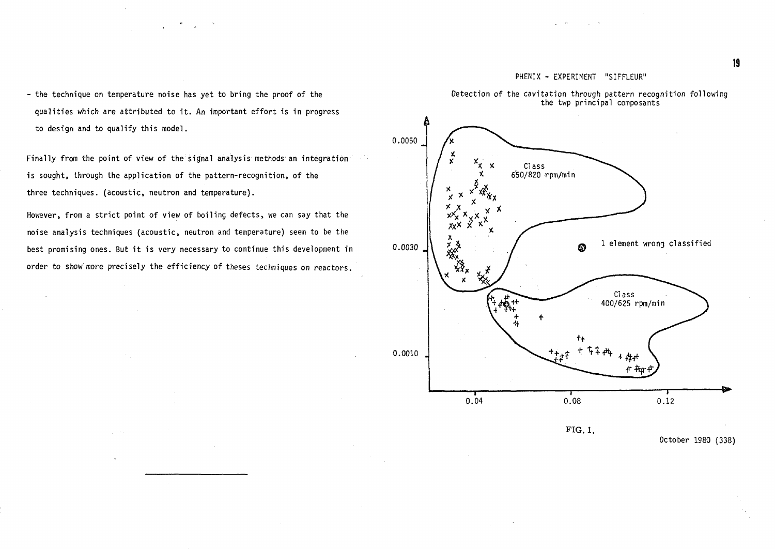#### PHENIX - EXPERIMENT "SIFFLEUR"

- the technique on temperature noise has yet to bring the proof of the qualities which are attributed to it. An important effort is in progress to design and to qualify this model.

Finally from the point of view of the signal analysis methods'an integration  $\mathcal{L}^{\text{max}}$ is sought, through the application of the pattern-recognition, of the three techniques, (acoustic, neutron and temperature).

However, from a strict point of view of boiling defects, we can say that the noise analysis techniques (acoustic, neutron and temperature) seem to be the best promising ones. But it is very necessary to continue this development in order to show'more precisely the efficiency of theses techniques on reactors.





FIG. 1.

October 1980 (338)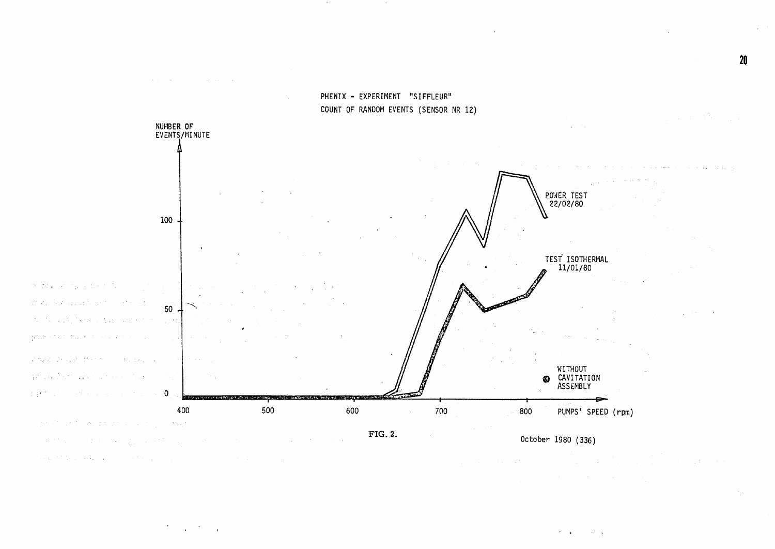

 $\{P_{\alpha}^{(1,0)}\}$  , then the projection

 $1.307$ 

approach.

 $\mathbf{r}=\mathbf{r}$  $\sim$   $\sim$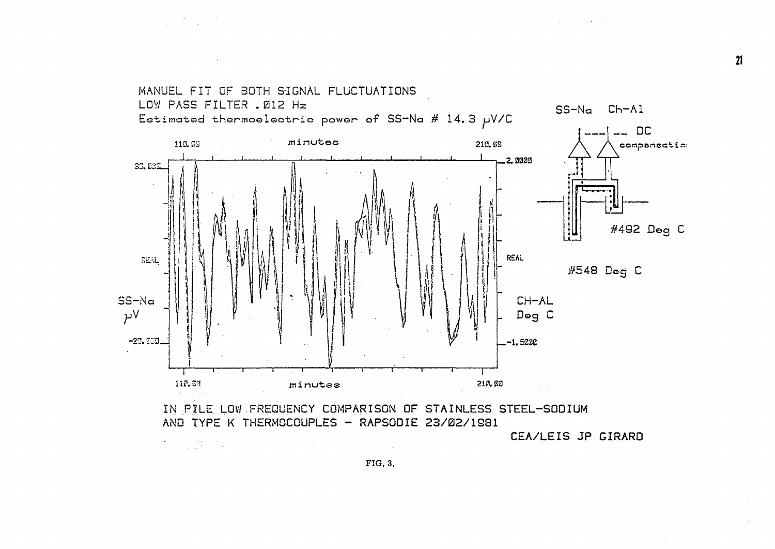

FIG. 3.

 $21$ 

 $\mathcal{O}(\mathcal{O}_\mathcal{O})$  . The set of  $\mathcal{O}_\mathcal{O}(\mathcal{O}_\mathcal{O})$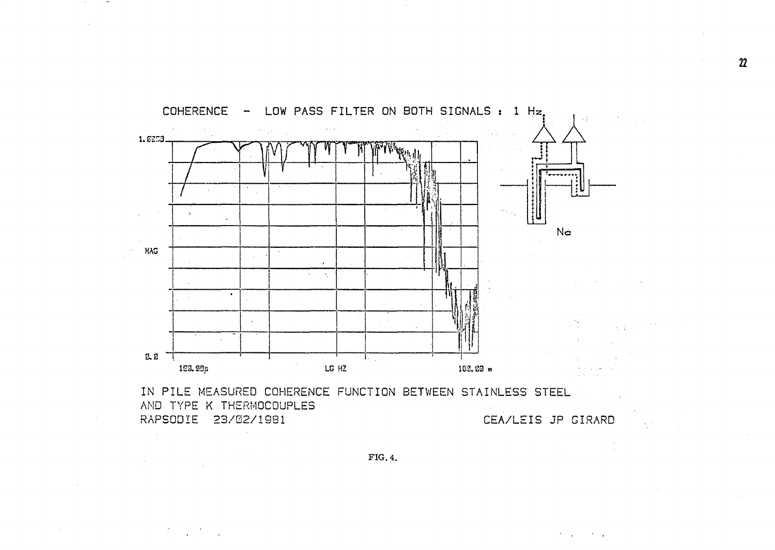

IN PILE MEASURED COHERENCE FUNCTION BETWEEN STAINLESS STEEL AND TYPE K THERMOCOUPLES RAPSODIE 23/02/1981

 $\sim 10^7$ 

 $\mathcal{A}^{\mathrm{max}}$ 

 $\label{eq:2} \mathcal{F}^{\text{max}}_{\text{max}} = \frac{1}{2} \sum_{i=1}^{N} \frac{1}{2} \sum_{i=1}^{N} \frac{1}{2} \sum_{i=1}^{N} \frac{1}{2} \sum_{i=1}^{N} \frac{1}{2} \sum_{i=1}^{N} \frac{1}{2} \sum_{i=1}^{N} \frac{1}{2} \sum_{i=1}^{N} \frac{1}{2} \sum_{i=1}^{N} \frac{1}{2} \sum_{i=1}^{N} \frac{1}{2} \sum_{i=1}^{N} \frac{1}{2} \sum_{i=1}^{N} \frac{1}{2}$ 

CEA/LEIS JP GIRARD

 $\sigma_{\rm{max}}=1.00$  and  $\sigma_{\rm{max}}$ 

FIG. 4.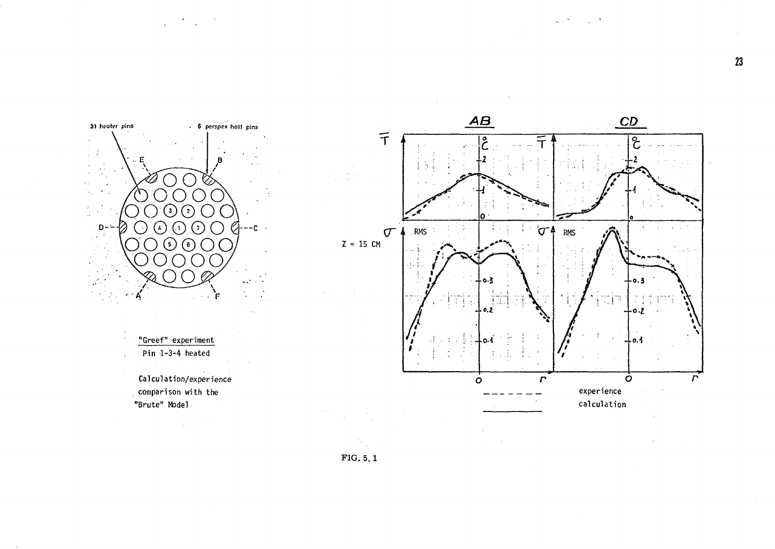$\mathbf{r}^{(1)}$  and

 $\sim 10^{-10}$ 





 $\boldsymbol{r}$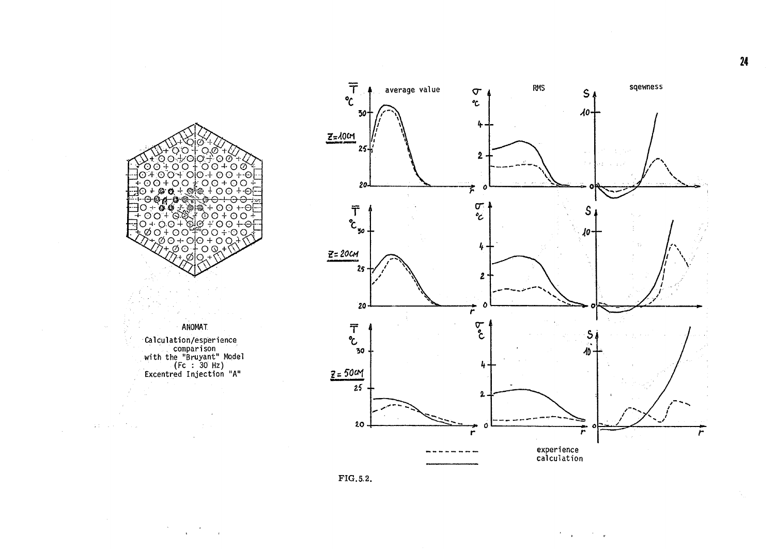

 $\mathcal{F}^{\mathcal{F}}_{\mathcal{F}^{\mathcal{F}}}$  ,  $\mathcal{F}^{\mathcal{F}}_{\mathcal{F}^{\mathcal{F}}}$ 



 $\sim 10^{11}$  km

 $\sim 10^{-1}$